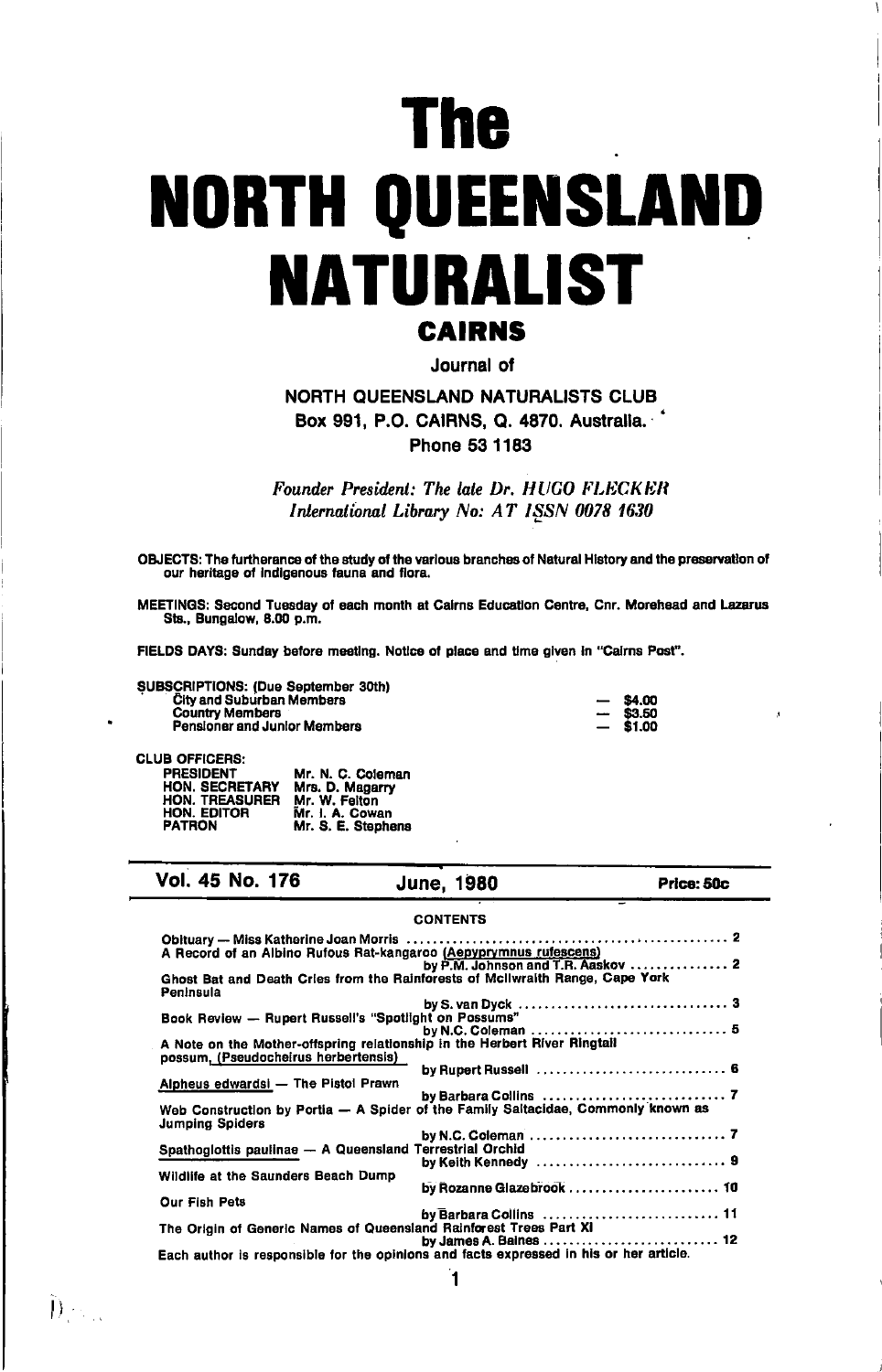# **The NORTH QUEENSLAND NATURALIST CAIRNS**

Journal of

# NORTH QUEENSLAND NATURALISTS CLUB Box 991, P.O. CAIRNS, Q. 4870. Australia. Phone 53 1183

Founder President: The late Dr. HUGO FLECKER International Library No: AT ISSN 0078 1630

OBJECTS: The furtherance of the study of the various branches of Natural History and the preservation of our heritage of indigenous fauna and flora.

MEETINGS: Second Tuesday of each month at Cairns Education Centre, Cnr. Morehead and Lazarus Sts., Bungalow, 8.00 p.m.

FIELDS DAYS: Sunday before meeting. Notice of place and time given in "Cairns Post".

SUBSCRIPTIONS: (Due September 30th) **City and Suburban Members Country Members** Pensioner and Junior Members

| 54.OO  |
|--------|
| 63. SD |
| .1.DO  |

#### **CLUB OFFICERS:**

| <b>PRESIDENT</b><br><b>HON. SECRETARY</b> | Mr. N. C. Coleman<br>Mrs. D. Magarry |
|-------------------------------------------|--------------------------------------|
| <b>HON. TREASURER</b>                     | Mr. W. Felton                        |
| HON. EDITOR                               | Mr. I. A. Cowan                      |
| <b>PATRON</b>                             | Mr. S. E. Stephens                   |

#### Vol. 45 No. 176 **June, 1980** Price: 50c **CONTENTS** Obituary - Miss Katherine Joan Morris A Record of an Albino Rufous Rat-kangaroo (Aepyprymnus rufescens)<br>A Record of an Albino Rufous Rat-kangaroo (Aepyprymnus rufescens) Ghost Bat and Death Cries from the Rainforests of McIlwraith Range, Cape York Peninsula by S. van Dyck<br>Book Review -- Rupert Russell's "Spotlight on Possums" . . . . . . . . . . . . . . . 5 A Note on the Mother-offspring relationship in the Herbert River Ringtail possum, (Pseudocheirus herbertensis) Alpheus edwardsi - The Pistol Prawn by Barbara Collins

**Jumping Spiders** by N.C. Coleman. **Terrestrial Orchid** Spathoglottis paulinae - A Queensland by Keith Kennedy Wildlife at the Saunders Beach Dump by Rozanne Glazebrook ........................ 10 **Our Fish Pets** . . . . . . . . . . . . . . . . 11 by James A. Baines . . . . . . . . . . . . . . . . . 12 Each author is responsible for the opinions and facts expressed in his or her article.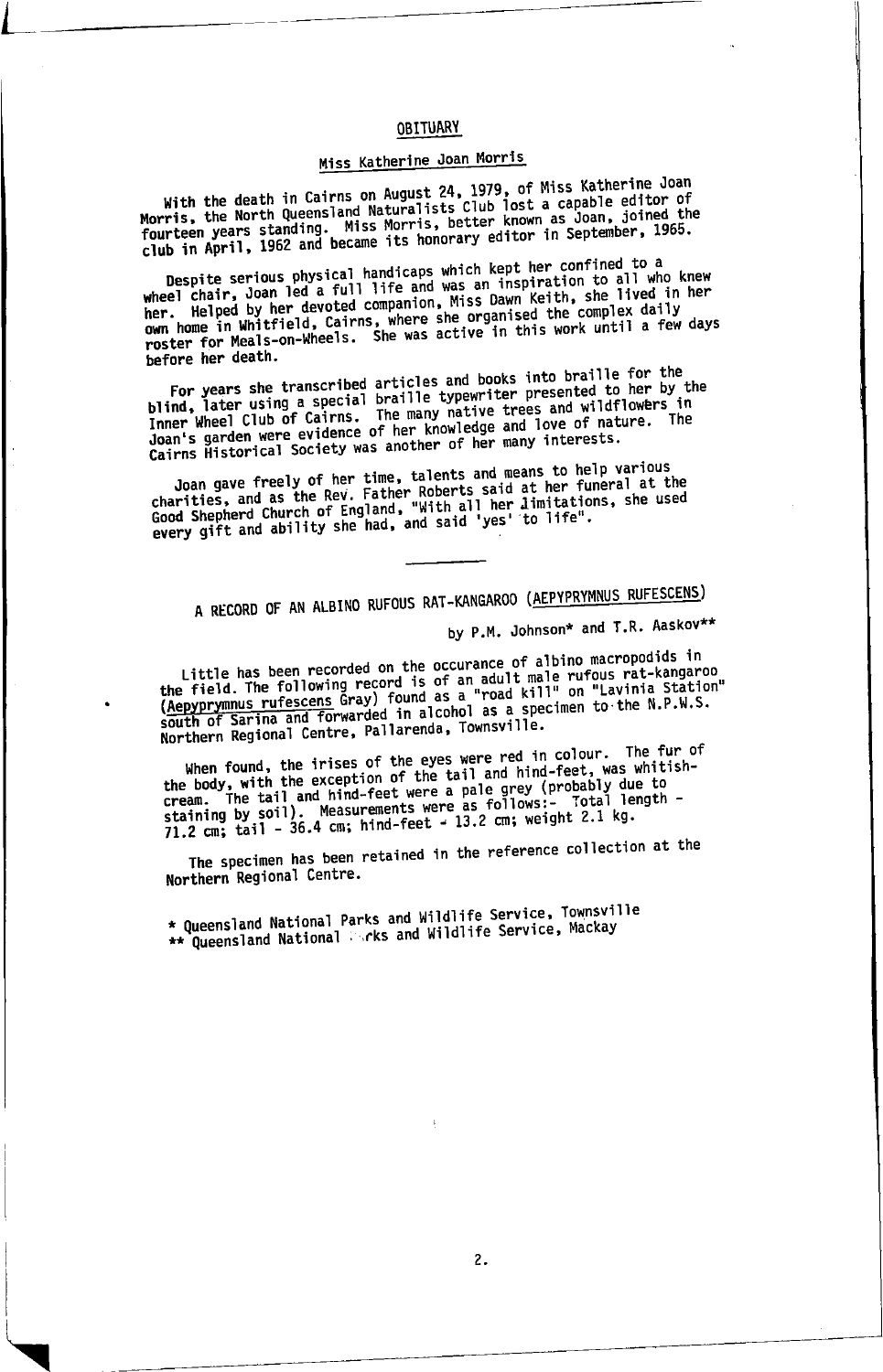# **ORTTUARY**

# Miss Katherine Joan Morris

With the death in Cairns on August 24, 1979, of Miss Katherine Joan<br>Morris, the North Queensland Naturalists Club lost a capable editor of<br>fourteen years standing. Miss Morris, better known as Joan, joined the<br>club in Apri

Despite serious physical handicaps which kept her confined to a<br>wheel chair, Joan led a full life and was an inspiration to all who knew<br>her. Helped by her devoted companion, Miss Dawn Keith, she lived in her ner. Inciped by her devoted companion, miss parm reight, she fived in the<br>own home in Whitfield, Cairns, where she organised the complex daily<br>roster for Meals-on-Wheels. She was active in this work until a few days hefore her death.

For years she transcribed articles and books into braille for the blind, later using a special braille typewriter presented to her by the Inner Wheel Club of Cairns. The many native trees and wildflowers in Joan's garden were evidence of her knowledge and love of nature. The Cairns Historical Society was another of her many interests.

Joan gave freely of her time, talents and means to help various<br>charities, and as the Rev. Father Roberts said at her funeral at the<br>Good Shepherd Church of England, "With all her limitations, she used<br>every gift and abili

# A RECORD OF AN ALBINO RUFOUS RAT-KANGAROO (AEPYPRYMNUS RUFESCENS)

by P.M. Johnson\* and T.R. Aaskov\*\*

Little has been recorded on the occurance of albino macropodids in Little has been recorded on the occurance of around macropoutus in<br>the field. The following record is of an adult male rufous rat-kangaroo<br>(Aepyprymmus rufescens Gray) found as a "road kill" on "Lavinia Station"<br>south of S Northern Regional Centre, Pallarenda, Townsville.

When found, the irises of the eyes were red in colour. The fur of<br>the body, with the exception of the tail and hind-feet, was whitish-Lie Dours with the exception of the tail and ninu-leet, was whitely<br>cream. The tail and hind-feet were a pale grey (probably due to<br>staining by soil). Measurements were as follows:- Total length -<br>71.2 cm; tail - 36.4 cm;

The specimen has been retained in the reference collection at the Northern Regional Centre.

\* Queensland National Parks and Wildlife Service, Townsville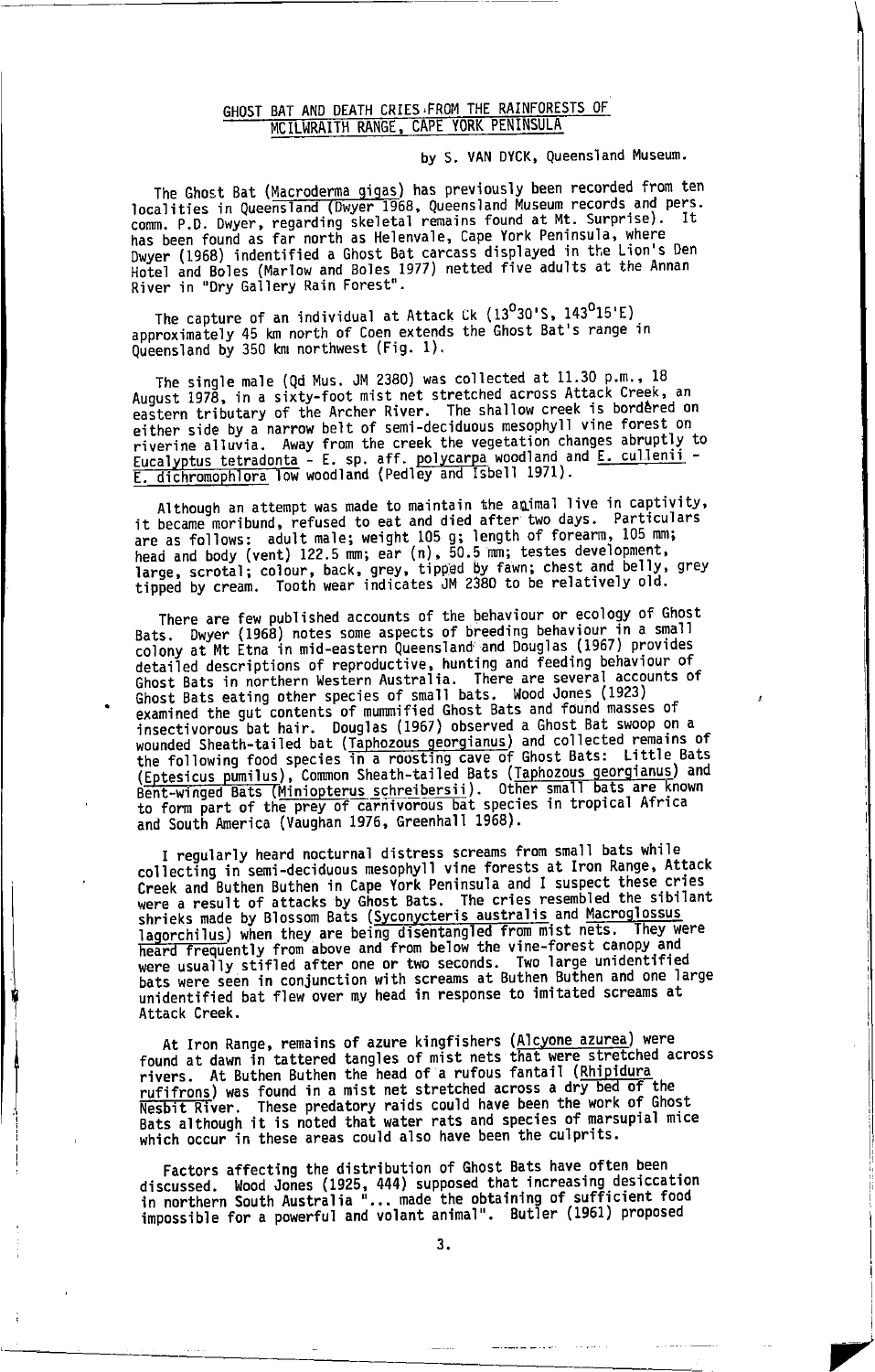# GHOST BAT AND DEATH CRIES FROM THE RAINFORESTS OF MCILWRAITH RANGE, CAPE YORK PENINSULA

by S. VAN DYCK, Queensland Museum.

The Ghost Bat (Macroderma gigas) has previously been recorded from ten localities in Queensland (Dwyer 1968, Queensland Museum records and pers. comm. P.D. Dwyer, regarding skeletal remains found at Mt. Surprise). 1t has been found as far north as Helenvale, Cape York Peninsula, where Dwyer (1968) indentified a Ghost Bat carcass displayed in the Lion's Den Hotel and Boles (Marlow and Boles 1977) netted five adults at the Annan<br>River in "Dry Gallery Rain Forest".

The capture of an individual at Attack Ck (13<sup>0</sup>30'S, 143<sup>0</sup>15'E) approximately 45 km north of Coen extends the Ghost Bat's range in Queensland by 350 km northwest (Fig. 1).

The single male (Qd Mus. JM 2380) was collected at 11.30 p.m., 18 August 1978, in a sixty-foot mist net stretched across Attack Creek, an eastern tributary of the Archer River. The shallow creek is bordered on either side by a narrow belt of semi-deciduous mesophyll vine forest on Five the created of the creek the vegetation changes abruptly to<br>riverine alluvia. Away from the creek the vegetation changes abruptly to<br>E. dichromophlora low woodland (Pedley and Isbell 1971).

Although an attempt was made to maintain the animal live in captivity, it become moribund, refused to eat and died after two days. Particulars<br>are as follows: adult male; weight 105 g; length of forearm, 105 mm;<br>head and body (vent) 122.5 mm; ear (n), 50.5 mm; testes development, These servested; colour, back, grey, tipped by fawn; chest and belly, grey<br>tipped, scrotal; colour, back, grey, tipped by fawn; chest and belly, grey<br>tipped by cream. Tooth wear indicates JM 2380 to be relatively old.

There are few published accounts of the behaviour or ecology of Ghost Bats. Dwyer (1968) notes some aspects of breeding behaviour in a small colony at Mt Etna in mid-eastern Queensland and Douglas (1967) provides detailed descriptions of reproductive, hunting and feeding behaviour of Ghost Bats in northern Western Australia. There are several accounts of Ghost Bats eating other species of small bats. Wood Jones (1923)<br>examined the gut contents of mummified Ghost Bats and found masses of insectivorous bat hair. Douglas (1967) observed a Ghost Bat swoop on a wounded Sheath-tailed bat (Taphozous georgianus) and collected remains of<br>the following food species in a roosting cave of Ghost Bats: Little Bats Chessicus punillus), Common Sheath-tailed Bats (Taphozous georgianus) and Bent-winged Bats (Miniopterus schreibersii). Other small bats are known to form part of the prey of carnivorous bat species in tropical Africa and S

I regularly heard nocturnal distress screams from small bats while collecting in semi-deciduous mesophyll vine forests at Iron Range, Attack Creek and Buthen Buthen in Cape York Peninsula and I suspect these cries were a result of attacks by Ghost Bats. The cries resembled the sibilant shrieks made by Blossom Bats (Syconycteris australis and Macroglossus Surveys made by Division Data (Sycological Lage of Prom mist nets. They were<br>lagorchilles) when they are being disentangled from mist nets. They were<br>heard frequently from above and from below the vine-forest canopy and<br>we bats were seen in conjunction with screams at Buthen Buthen and one large unidentified bat flew over my head in response to imitated screams at Attack Creek.

At Iron Range, remains of azure kingfishers (Alcyone azurea) were found at dawn in tattered tangles of mist nets that were stretched across rivers. At Buthen Buthen the head of a rufous fantail (Rhipidura ruffrons) was found in a mist net stretched across a dry bed of the Nesbit River. These predatory raids could have been the work of Ghost<br>Bats although it is noted that water rats and species of marsupial mice which occur in these areas could also have been the culprits.

Factors affecting the distribution of Ghost Bats have often been discussed. Wood Jones (1925, 444) supposed that increasing desiccation<br>in northern South Australia "... made the obtaining of sufficient food<br>impossible for a powerful and volant animal". Butler (1961) proposed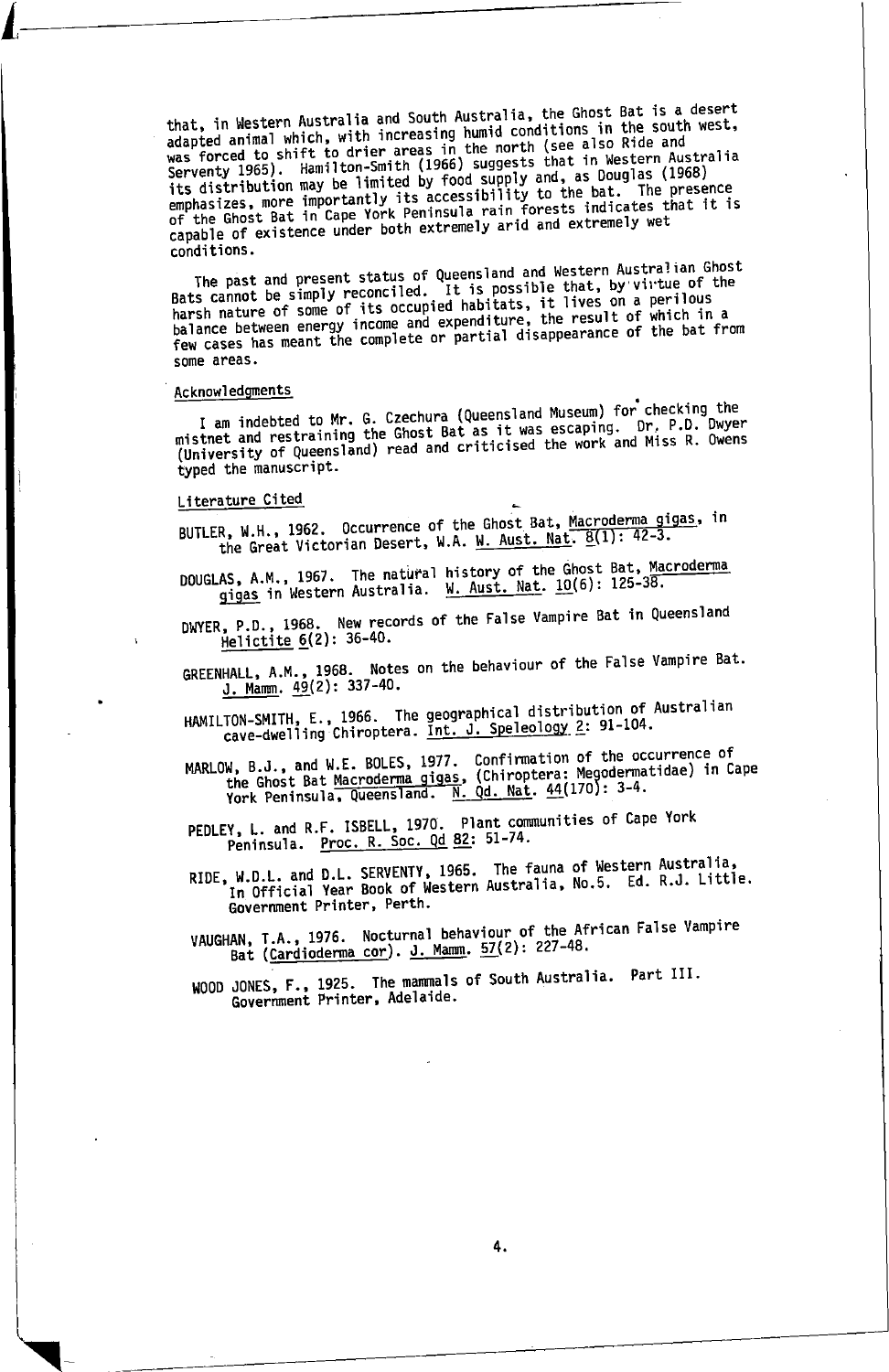that, in Western Australia and South Australia, the Ghost Bat is a desert adapted animal which, with increasing humid conditions in the south west, was forced to shift to drier areas in the north (see also Ride and<br>Serventy 1965). Hamilton-Smith (1966) suggests that in Western Australia Serventy 1900). nemitted by food supply and, as Douglas (1968)<br>its distribution may be limited by food supply and, as Douglas (1968)<br>emphasizes, more importantly its accessibility to the bat. The presence<br>of the Ghost Bat capable of existence under both extremely arid and extremely wet conditions.

The past and present status of Queensland and Western Australian Ghost<br>Bats cannot be simply reconciled. It is possible that, by virtue of the pats cannot be simply reconciled. It is possible that, by virtue of the<br>harsh nature of some of its occupied habitats, it lives on a perilous<br>balance between energy income and expenditure, the result of which in a<br>few case some areas.

# Acknowledgments

I am indebted to Mr. G. Czechura (Queensland Museum) for checking the mistnet and restraining the Ghost Bat as it was escaping. Dr. P.D. Dwyer (University of Queensland) read and criticised the work and Miss R. Owens typed the manuscript.

#### Literature Cited

BUTLER, W.H., 1962. Occurrence of the Ghost Bat, Macroderma gigas, in the Great Victorian Desert, W.A. W. Aust. Nat. 8(1): 42-3.

DOUGLAS, A.M., 1967. The natural history of the Ghost Bat, Macroderma gigas in Western Australia. W. Aust. Nat. 10(6): 125-38.

DWYER, P.D., 1968. New records of the False Vampire Bat in Queensland Helictite 6(2): 36-40.

GREENHALL, A.M., 1968. Notes on the behaviour of the False Vampire Bat.<br>1. Mamm. 49(2): 337-40.

HAMILTON-SMITH, E., 1966. The geographical distribution of Australian<br>cave-dwelling Chiroptera. <u>Int. J. Speleology 2</u>: 91-104.

MARLOW, B.J., and W.E. BOLES, 1977. Confirmation of the occurrence of the Ghost Bat Macroderma gigas, (Chiroptera: Megodermatidae) in Cape<br>York Peninsula, Queensland. N. Qd. Nat. 44(170): 3-4.

PEDLEY, L. and R.F. ISBELL, 1970. Plant communities of Cape York<br>Peninsula. <u>Proc. R. Soc. Qd 82</u>: 51-74.

RIDE, W.D.L. and D.L. SERVENTY, 1965. The fauna of Western Australia, In Official Year Book of Western Australia, No.5. Ed. R.J. Little. Government Printer, Perth.

VAUGHAN, T.A., 1976. Nocturnal behaviour of the African False Vampire Bat (Cardioderma cor). J. Mamm. 57(2): 227-48.

WOOD JONES, F., 1925. The mammals of South Australia. Part III.<br>Government Printer, Adelaide.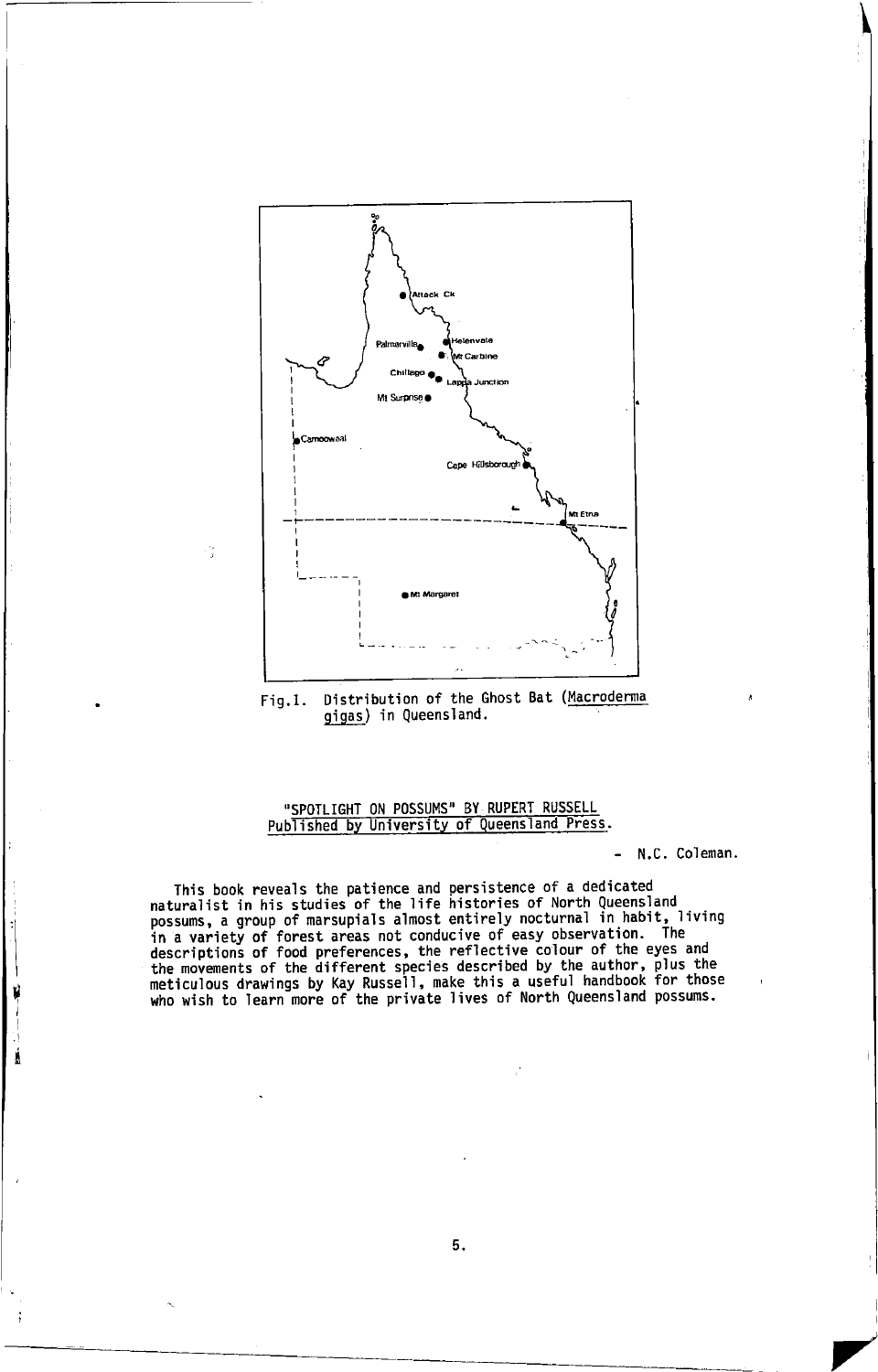

Distribution of the Ghost Bat (Macroderma  $Fig.1.$ gigas) in Queensland.

# "SPOTLIGHT ON POSSUMS" BY RUPERT RUSSELL Published by University of Queensland Press.

- N.C. Coleman.

 $\blacktriangledown$ 

This book reveals the patience and persistence of a dedicated<br>naturalist in his studies of the life histories of North Queensland<br>possums, a group of marsupials almost entirely nocturnal in habit, living in a variety of forest areas not conducive of easy observation. The<br>descriptions of food preferences, the reflective colour of the eyes and<br>the movements of the different species described by the author, plus the<br>meticulou

. I i

5.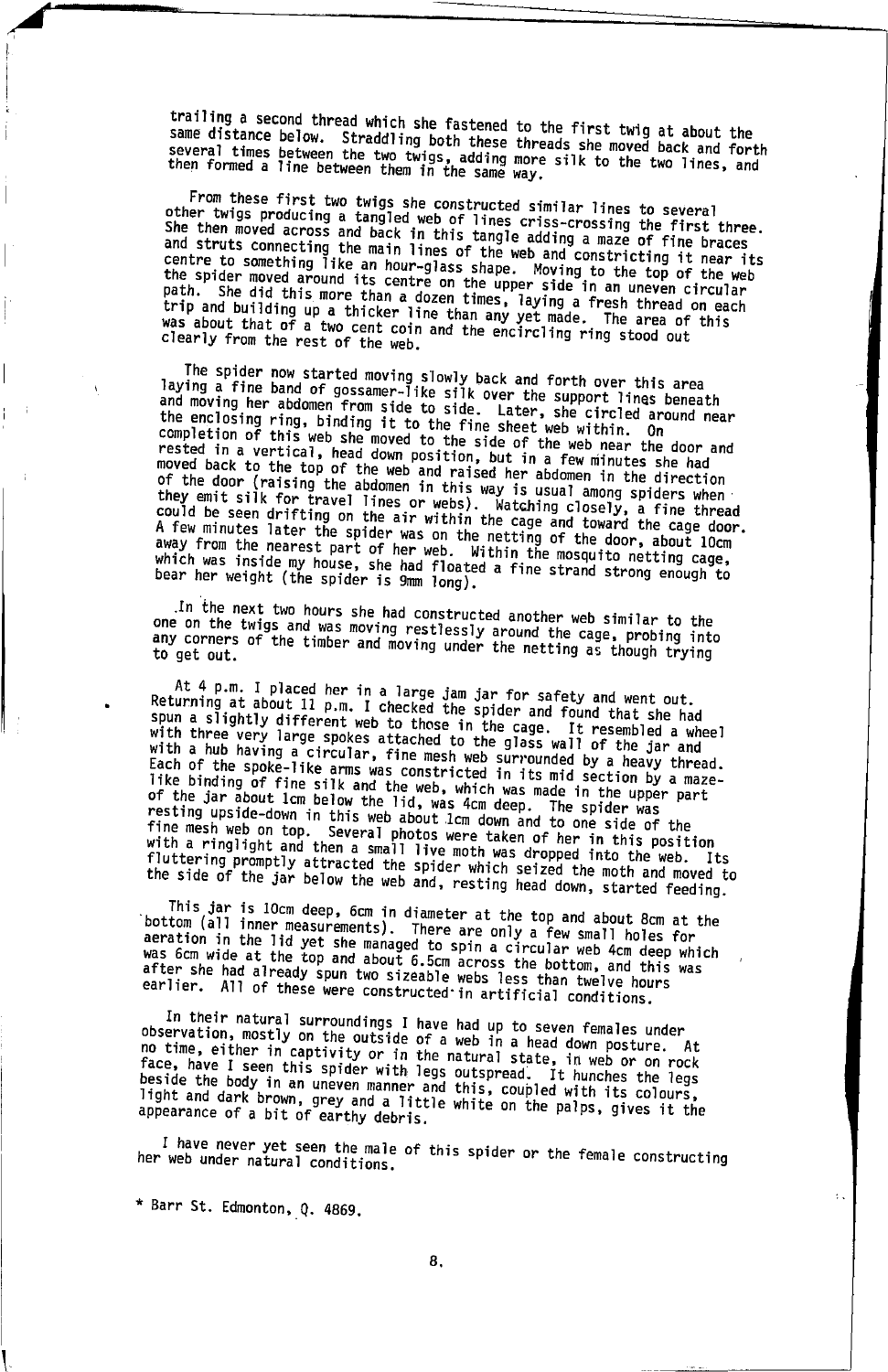trailing a second thread which she fastened to the first twig at about the starting to cooling the community of the community of the contract of the same distance below. Straddling both these threads she moved back and forth Several times between the two twigs, adding more silk to the two lines, and<br>then formed a line between them in the same way.

From these first two twigs she constructed similar lines to several The theory of the two whigh are constructed similar this to server.<br>Other twigs producing a tangled web of lines criss-crossing the first three.<br>She then moved across and back in this tangle adding a maze of fine braces and struts connecting the main lines of the web and constricting it near its<br>centre to something like an hour-glass shape. Moving to the top of the web the spider moved around its centre on the upper side in an uneven circular path. She did this more than a dozen times, laying a fresh thread on each<br>trip and building up a thicker line than any yet made. The area of this was about that of a two cent coin and the encircling ring stood out clearly from the rest of the web.

The spider now started moving slowly back and forth over this area<br>laying a fine band of gossamer-like silk over the support lines beneath and moving her abdomen from side to side. Later, she circled around near the enclosing ring, binding it to the fine sheet web within. On completion of this web she moved to the side of the web near the door and rested in a vertical, head down position, but in a few minutes she had moved back to the top of the web and raised her abdomen in the direction of the door (raising the abdomen in this way is usual among spiders when or the duor (raising the abduluent in this way is usual among spiters mind.<br>they emit silk for travel lines or webs). Watching closely, a fine thread<br>could be seen drifting on the air within the cage and toward the cage do away from the nearest part of her web. Within the mosquito netting cage, which was inside my house, she had floated a fine strand strong enough to bear her weight (the spider is 9mm long).

In the next two hours she had constructed another web similar to the one on the twigs and was moving restlessly around the cage, probing into<br>any corners of the timber and moving under the netting as though trying

At 4 p.m. I placed her in a large jam jar for safety and went out. Returning at about 11 p.m. I checked the spider and found that she had spun a slightly different web to those in the cage. It resembled a wheel with three very large spokes attached to the glass wall of the jar and with a hub having a circular, fine mesh web surrounded by a heavy thread. Each of the spoke-like arms was constricted in its mid section by a maze-Each of the binding of fine silk and the web, which was made in the upper part<br>of the jar about 1cm below the lid, was 4cm deep. The spider was<br>resting upside-down in this web about 1cm down and to one side of the<br>resting The mesh web on top. Several photos were taken of her in this position<br>with a ringlight and then a small live moth was dropped into the web. Its fluttering promptly attracted the spider which seized the moth and moved to<br>the side of the jar below the web and, resting head down, started feeding.

This jar is 10cm deep, 6cm in diameter at the top and about 8cm at the bottom (all inner measurements). There are only a few small holes for aeration in the lid yet she managed to spin a circular web 4cm deep which was 6cm wide at the top and about 6.5cm across the bottom, and this was after she had already spun two sizeable webs less than twelve hours earlier. All of these were constructed in artificial conditions.

In their natural surroundings I have had up to seven females under observation, mostly on the outside of a web in a head down posture. At no time, either in captivity or in the natural state, in web or on rock face, have I seen this spider with legs outspread. It hunches the legs<br>beside the body in an uneven manner and this, coupled with its colours, light and dark brown, grey and a little white on the palps, gives it the appearance of a bit of earthy debris.

I have never yet seen the male of this spider or the female constructing her web under natural conditions.

\* Barr St. Edmonton, Q. 4869.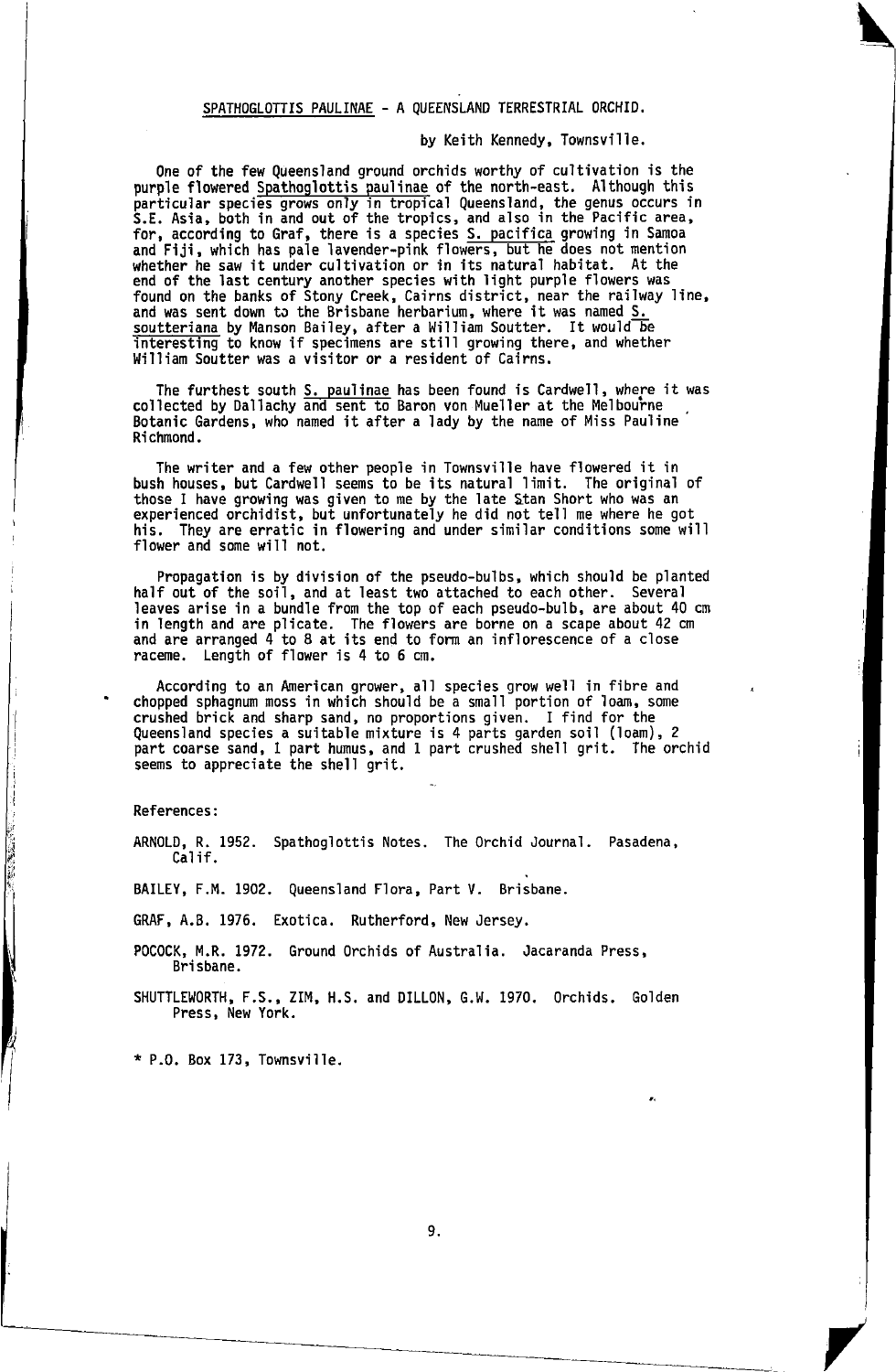# SPATHOGLOTTIS PAULINAE - A QUEENSLAND TERRESTRIAL ORCHID.

by Keith Kennedy, Townsvilie.

one of the few Queensland ground orchids worthy of cultivation is the purple flowered <u>Spathoglottis paulinae</u> of the north-east. Although this<br>particular species grows only in tropical Queensland, the genus occurs in<br>S.E. Asia, both in and out of the tropics, and also in the Pacific area, for, according to Graf, there is a species S. pacifica growing in Samoa<br>and Fiji, which has pale lavender-pink flowers, but he does not mention<br>whether he saw it under cultivation or in its natural habitat. At the end of the last century another species with light purple flowers was found on the banks of Stony Creek, Cairns district, near the railway line, and was sent down to the Brisbane herbarium, where it was named S. soutteriana by Manson Bailey, after a William Soutter. It would be interesting to know if specimens are still growing there, and whether William Soutter was a visitor or a resident of Cairns.

The furthest south <u>S. paulinae</u> has been found is Cardwell, where it was<br>collected by Dallachy and sent to Baron von Mueller at the Melbourne Botanic Gardens, who named it after a lady by the name of Miss Pauline Ri chnond.

The writer and a few other people in Townsville have flowered it in bush houses, but Cardwell seens to be its natura'l limit. The original of those I have growing was given to me by the late Stan Short who was an experienced orchidist, but unfortunately he did not tell me where he got his. They are erratic in flowering and under similar conditions some will flower and some will not.

Propagation is by division of the pseudo-bulbs, which should be planted half out of the soil, and at least two attached to each other. Several leaves arise in a bundle fron the top of each pseudo-bulb, are about 40 cm in length and are plicate. The flowers are borne on a scape about 42 cm<br>and are arranged 4 to 8 at its end to form an inflorescence of a close<br>raceme. Length of flower is 4 to 6 cm.

According to an American grower, all species grow well in fibre and chopped sphagnum moss in which should be a small portion of loam, some crushed brick and sharp sand, no proportions given. I find for the Queensland species a suitable mixture is 4 parts garden soil (loam), <sup>2</sup> part coarse sand, t part hunus, and 1 part crushed shell grit. The orchid seems to appreciate the shell grit.

References:

**CONTRACTOR** 

ARNoLD, R. 1952. Spathoglottis Notes. The 0rchid Journal. Pasadena, Calif.

BAILEY, F.M. 1902. Queensland Flora, Part V. Brisbane.

GRAF, A.B. 1976. Exotica. Rutherford, New Jersey.

POCOCK, M.R. 1972. Ground Orchids of Australia. Jacaranda Press, Bri sbane.

SHUTTLEWORTH, F.S., ZIM, H.S. and DILLON, G.W. 1970. Orchids. Golden Press, New York.

\* P.0. Box 173, Townsville.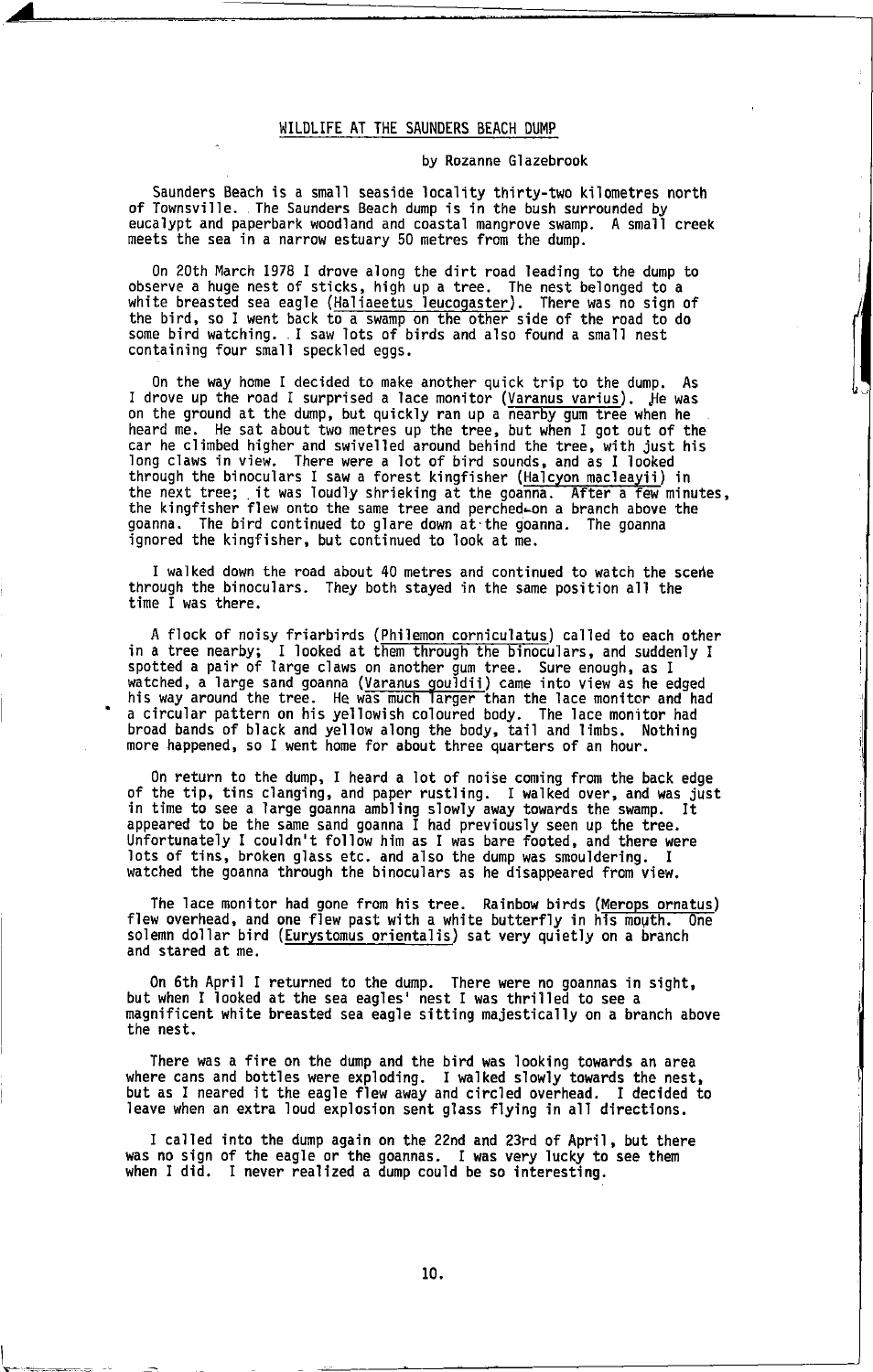#### WILDLIFE AT THE SAUNDERS BEACH DUMP

#### by Rozanne Glazebrook

Saunders Beach is a small seaside locality thirty-two kilometres north<br>of Townsville. The Saunders Beach dump is in the bush surrounded by eucalypt and paperbark woodland and coastal mangrove swanp. A snail creek meets the sea in a narrow estuary 50 metres from the dump.

0n 20th March 1978 I drove along the dirt road leading to the dump to observe a huge nest of sticks, high up a tree. The nest belonged to a white breasted sea eagle (Haliaeetus leucogaster). There was no sign of the bird, so I went back to a swamp on the other side of the road to do some bird watching. I saw lots of birds and also found a small nest containing four small speckled eggs.

0n the way home I decided to make another quick trip to the dump. As <sup>I</sup>drove up the road I surprised a lace monitor (Varanus varius). Je was on the ground at the dump, but quickly ran up a nearby gum tree when he heard me. He sat about two metres up the tree, but when I got out of the<br>car he climbed higher and swivelled around behind the tree, with just his long claws in view, There were a lot of bird sounds, and as I looked through the binoculars I saw a forest kingfisher (Halcyon macleayii) in<br>the next tree; it was loudly shrieking at the goanna. After a few minutes,<br>the kingfisher flew onto the same tree and perched-on a branch above the goanna. The bird continued to glare down at.the goanna. The goanna ignored the kingfisher, but continued to look at me.

I walked down the road about 40 metres and continued to watch the scene through the binoculars. They both stayed in the same position all the time I was there.

A flock of noisy friarbirds (Philemon corniculatus) called to each other in a tree nearby; I looked at them through the binoculars, and suddenly I<br>spotted a pair of large claws on another gum tree. Sure enough, as I<br>watched, a large sand goanna (Varanus gouldii) came into view as he edged<br>his w a circular pattern on his yellowish coloured body. The lace monitor had broad bands of black and yellow along the body, tail and limbs. Nothing more happened, so I went hone for about three quarters of an hour.

On return to the dump, I heard a lot of noise coming from the back edge of the tip, tins clanging, and paper rustling. I walked over, and was just in tine to see a large goanna ambllng slowly away towards the swamp, It appeared to be the sane sand goanna I had previously seen up the tree. Unfortunately I couldn't follow hlm as I was bare footed, and there were lots of tins, broken glass etc. and also the dump was snouldering. <sup>t</sup> watched the goanna through the binoculars as he disappeared from view.

The lace monitor had gone from his tree. Rainbow birds (Merops ornatus) flew overhead, and one flew past with a white butterfly in his mouth. One solemn dollar bird (Eurystomus orientalis) sat very quietly on a branch and stared at me.

0n 6th April I returned to the dump. There were no goannas in sight, but when I looked at the sea eagles' nest I was thrilled to see <sup>a</sup> rnagnificent white breasted sea eagle sitting majestically on a branch above the nest.

There was a fire on the dunp and the bird was looking towards an area where cans and bottles were exploding. I walked slowly towards the nest, but as I neared it the eagle flew away and circled overhead. I decided to leave when an extra loud explosion sent glass flying in all directions.

I called into the dump again on the 22nd and 23rd of April, but there was no sign of the eagle or the goannas. I was very lucky to see them when I did. I never realized a dump could be so interesting.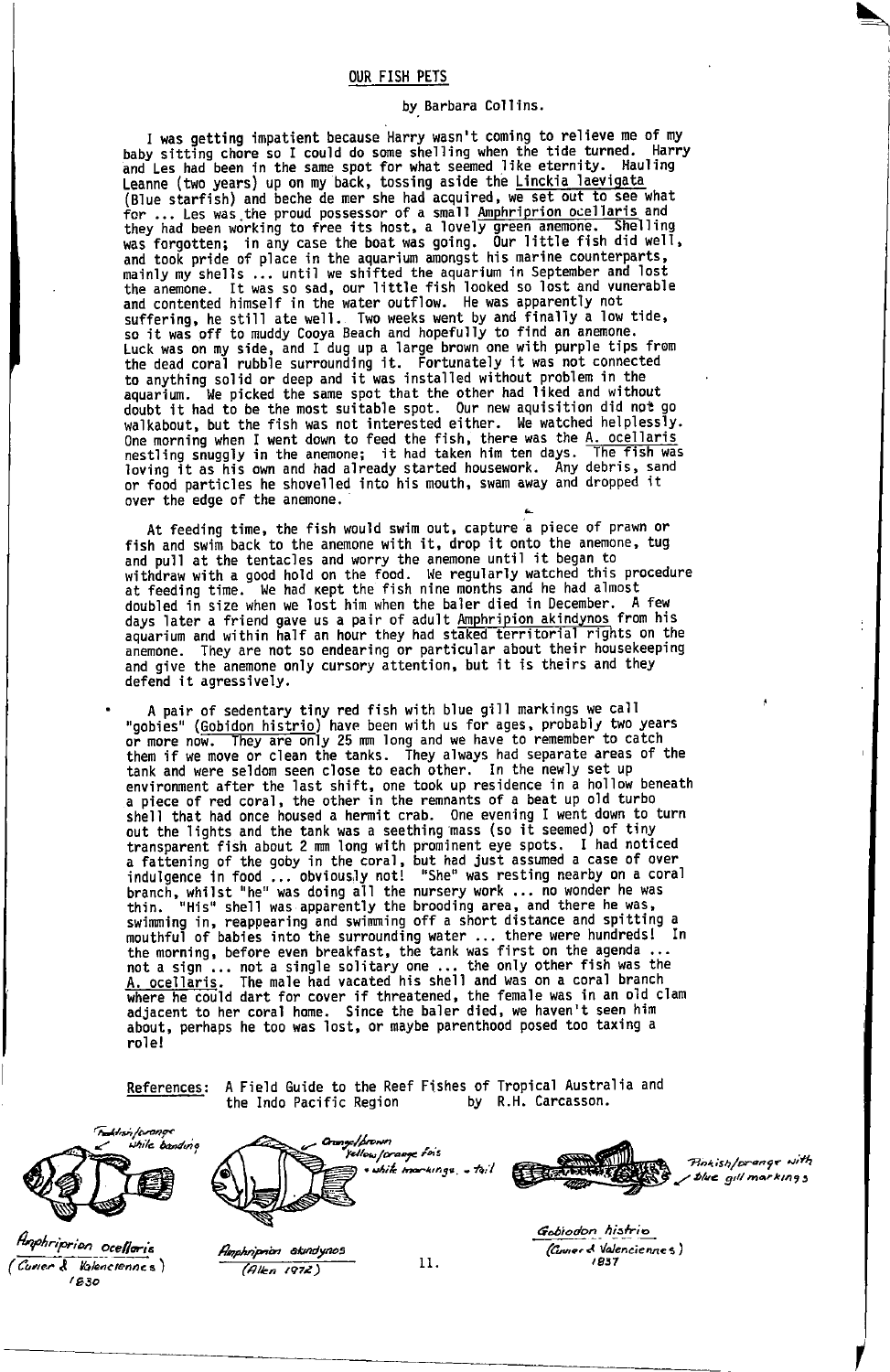#### OUR FISH PETS

#### by. Barbara collins.

I was getting impatient because Harry wasn't coming to relieve me of my<br>baby sitting chore so I could do some shelling when the tide turned. Harry and Les had-been in the same spot for what seemed like eternity. Hauling<br>Leanne (two years) up on my back, tossing aside the <u>Linckia laevigata</u><br>(Blue starfish) and beche de mer she had acquired, we set out to see what for ... Les was the proud possessor of a small Amphriprion ocellaris and they had been working to free its host, a lovely green anemone. Shelling<br>was forgotten; in any case the boat was going. Our little fish did well, and took pride of place in the aquarium amongst his marine counterparts, mainly my shells ... until we shifted the aquarium in September and lost the anemone. It was so sad, our little fish looked so lost and vunerable<br>and contented himself in the water outflow. He was apparently not suffering, he still ate well. Two weeks went by and finally a low tide,<br>so it was off to muddy Cooya Beach and hopefully to find an anemone. buck was on my side, and I dug up a large brown one with purple tips from<br>the dead coral rubble surrounding it. Fortunately it was not connected<br>to anything solid or deep and it was installed without problem in the<br>aquariu doubt it had to be the most suitable spot. Our new aquisition did not go walkabout, but the fish was not interested either. We watched helplessly. which count is the fish, there was the A. ocellaris<br>"liting shuggly in the anemone; it had taken him ten days. The fish was<br>loving it as his own and had already started housework. Any debris, sand loving it as his own and had already started housework. Any debris, sand or food particles he shovelled into his mouth, swam away and dropped it over the edge of the anemone.

At feeding time, the fish would swim out, capture a piece of prawn or fish and swim back to the anemone with it, drop it onto the anemone, tug and pull at the tentacles and worry the anemone until it began to<br>withdraw with a good hold on the food. We regularly watched this procedure at feeding time. We had kept the fish nine months and he had almost doubled in size when we lost him when the baler died in December. A few<br>days later a friend gave us a pair of adult <u>Amphripion akindynos</u> from his aquarium and within half an hour they had staked territorial rights on the<br>anemone. They are not so endearing or particular about their housekeeping They are not so endearing or particular about their housekeeping and give the anenone only cursory attention, but it is theirs and they defend it agressively.

A pair of sedentary tiny red fish with blue 9i1l markings we call "gobies" (Gobidon histrio) have been with us for ages, probably two years<br>or more now. They are only 25 mm long and we have to remember to catch<br>them if we move or clean the tanks. They always had separate areas of the tank and were seldom seen c'lose to each other. In the newly set up envirorunent after the last shift, one took up residence in a hollow beneath a piece of red coral, the other in the rennants of a beat up old turbo shall that had once housed a hermit crab. one evening I went down to turn out the lights and the tank was a seething mass (so it seemed).of tiny transparenl fish about 2 mn long with promjnent eye spots. I had noticed relationship of the goby in the coral, but had just assumed a case of over<br>indulgence in food ... obviously not! "She" was resting nearby on a coral<br>thin. "His" shell was doing all the nursery work ... no wonder he was<br>thi not a sign-... not a single solitary one ... the only other fish was the<br>A. ocellaris. The male had vacated his shell and was on a coral branch Algoein to the could dart for cover if threatened, the female was in an old clam<br>adjacent to her coral home. Since the baler died, we haven't seen him about, perhaps he too was lost, or maybe parenthood posed too taxing a role!

References: A Field Guide to the Reef Fishes of Tropical Australia and<br>the Indo Pacific Region by R.H. Carcasson. by R.H. Carcasson.



(Curier & Kalenciennes) | 630





I

Amphriprion ocelloris<br>Comer & Valenciennes) Manphriprion exemplances<br>Comer & Valenciennes) (Allen 1972) 11. (B37 1837)